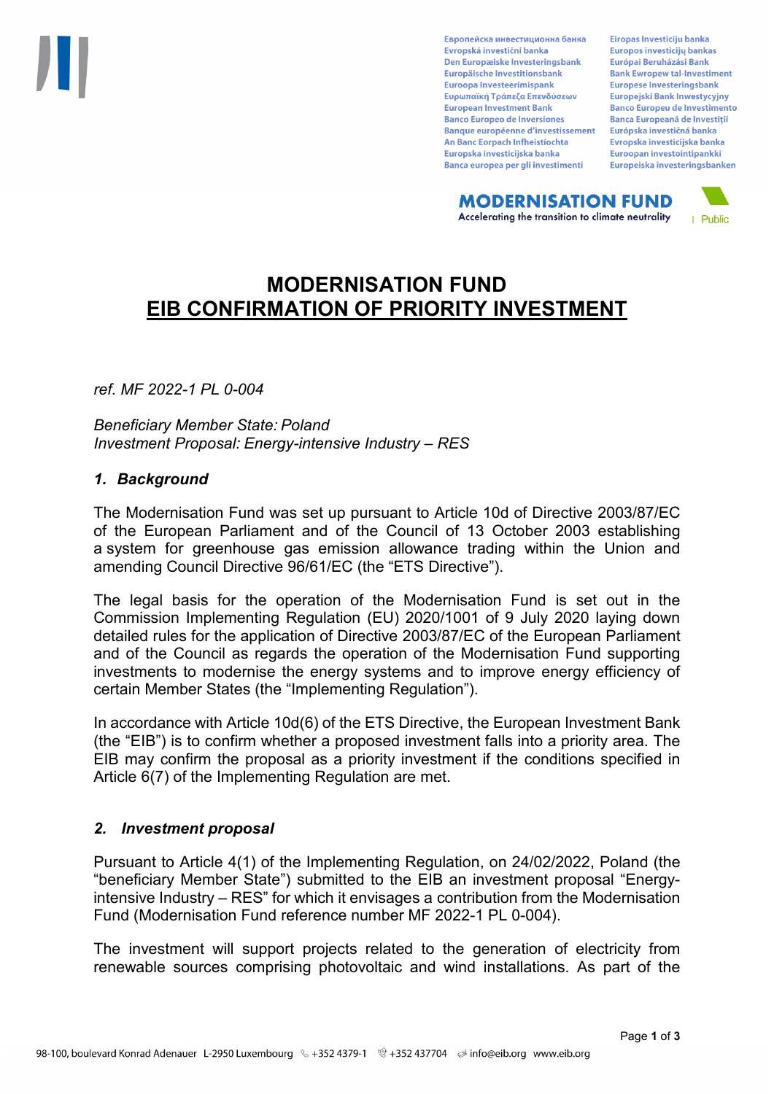Европейска инвестиционна банка Evropská investiční banka Den Europæiske Investeringsbank Europäische Investitionsbank Euroopa Investeerimispank Ευρωπαϊκή Τράπεζα Επενδύσεων **European Investment Bank Banco Europeo de Inversiones Banque européenne d'investissement** An Banc Eorpach Infheistíochta Europska investicijska banka Banca europea per gli investimenti

Eiropas Investīciju banka Europos investicijų bankas Európai Beruházási Bank **Bank Ewropew tal-Investiment** Europese Investeringsbank **Europeiski Bank Inwestycviny Banco Europeu de Investimento Banca Europeană de Investiții** Európska investičná banka Evropska investicijska banka Euroopan investointipankki Europeiska investeringsbanken

**MODERNISATION FUND** Accelerating the transition to climate neutrality



# **MODERNISATION FUND EIB CONFIRMATION OF PRIORITY INVESTMENT**

*ref. MF 2022-1 PL 0-004*

*Beneficiary Member State: Poland Investment Proposal: Energy-intensive Industry – RES*

#### *1. Background*

The Modernisation Fund was set up pursuant to Article 10d of Directive 2003/87/EC of the European Parliament and of the Council of 13 October 2003 establishing a system for greenhouse gas emission allowance trading within the Union and amending Council Directive 96/61/EC (the "ETS Directive").

The legal basis for the operation of the Modernisation Fund is set out in the Commission Implementing Regulation (EU) 2020/1001 of 9 July 2020 laying down detailed rules for the application of Directive 2003/87/EC of the European Parliament and of the Council as regards the operation of the Modernisation Fund supporting investments to modernise the energy systems and to improve energy efficiency of certain Member States (the "Implementing Regulation").

In accordance with Article 10d(6) of the ETS Directive, the European Investment Bank (the "EIB") is to confirm whether a proposed investment falls into a priority area. The EIB may confirm the proposal as a priority investment if the conditions specified in Article 6(7) of the Implementing Regulation are met.

## *2. Investment proposal*

Pursuant to Article 4(1) of the Implementing Regulation, on 24/02/2022, Poland (the "beneficiary Member State") submitted to the EIB an investment proposal "Energyintensive Industry – RES" for which it envisages a contribution from the Modernisation Fund (Modernisation Fund reference number MF 2022-1 PL 0-004).

The investment will support projects related to the generation of electricity from renewable sources comprising photovoltaic and wind installations. As part of the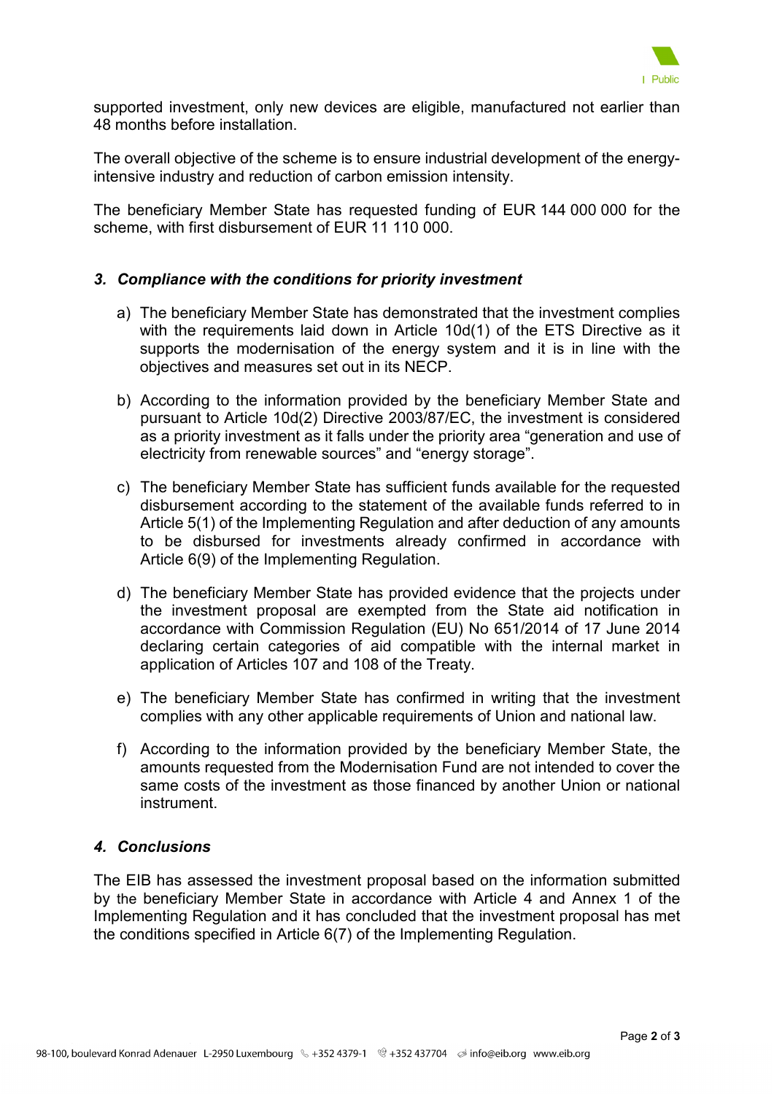

supported investment, only new devices are eligible, manufactured not earlier than 48 months before installation.

The overall objective of the scheme is to ensure industrial development of the energyintensive industry and reduction of carbon emission intensity.

The beneficiary Member State has requested funding of EUR 144 000 000 for the scheme, with first disbursement of EUR 11 110 000.

## *3. Compliance with the conditions for priority investment*

- a) The beneficiary Member State has demonstrated that the investment complies with the requirements laid down in Article 10d(1) of the ETS Directive as it supports the modernisation of the energy system and it is in line with the objectives and measures set out in its NECP.
- b) According to the information provided by the beneficiary Member State and pursuant to Article 10d(2) Directive 2003/87/EC, the investment is considered as a priority investment as it falls under the priority area "generation and use of electricity from renewable sources" and "energy storage".
- c) The beneficiary Member State has sufficient funds available for the requested disbursement according to the statement of the available funds referred to in Article 5(1) of the Implementing Regulation and after deduction of any amounts to be disbursed for investments already confirmed in accordance with Article 6(9) of the Implementing Regulation.
- d) The beneficiary Member State has provided evidence that the projects under the investment proposal are exempted from the State aid notification in accordance with Commission Regulation (EU) No 651/2014 of 17 June 2014 declaring certain categories of aid compatible with the internal market in application of Articles 107 and 108 of the Treaty.
- e) The beneficiary Member State has confirmed in writing that the investment complies with any other applicable requirements of Union and national law.
- f) According to the information provided by the beneficiary Member State, the amounts requested from the Modernisation Fund are not intended to cover the same costs of the investment as those financed by another Union or national instrument.

## *4. Conclusions*

The EIB has assessed the investment proposal based on the information submitted by the beneficiary Member State in accordance with Article 4 and Annex 1 of the Implementing Regulation and it has concluded that the investment proposal has met the conditions specified in Article 6(7) of the Implementing Regulation.